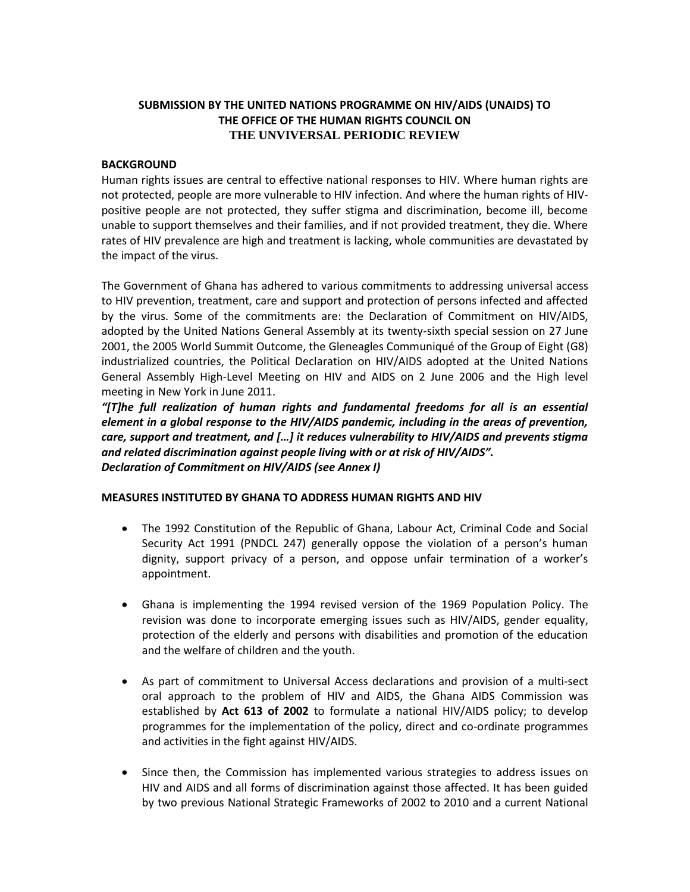# **SUBMISSION BY THE UNITED NATIONS PROGRAMME ON HIV/AIDS (UNAIDS) TO THE OFFICE OF THE HUMAN RIGHTS COUNCIL ON THE UNVIVERSAL PERIODIC REVIEW**

## **BACKGROUND**

Human rights issues are central to effective national responses to HIV. Where human rights are not protected, people are more vulnerable to HIV infection. And where the human rights of HIVpositive people are not protected, they suffer stigma and discrimination, become ill, become unable to support themselves and their families, and if not provided treatment, they die. Where rates of HIV prevalence are high and treatment is lacking, whole communities are devastated by the impact of the virus.

The Government of Ghana has adhered to various commitments to addressing universal access to HIV prevention, treatment, care and support and protection of persons infected and affected by the virus. Some of the commitments are: the Declaration of Commitment on HIV/AIDS, adopted by the United Nations General Assembly at its twenty-sixth special session on 27 June 2001, the 2005 World Summit Outcome, the Gleneagles Communiqué of the Group of Eight (G8) industrialized countries, the Political Declaration on HIV/AIDS adopted at the United Nations General Assembly High-Level Meeting on HIV and AIDS on 2 June 2006 and the High level meeting in New York in June 2011.

*"[T]he full realization of human rights and fundamental freedoms for all is an essential element in a global response to the HIV/AIDS pandemic, including in the areas of prevention, care, support and treatment, and […] it reduces vulnerability to HIV/AIDS and prevents stigma and related discrimination against people living with or at risk of HIV/AIDS". Declaration of Commitment on HIV/AIDS (see Annex I)*

## **MEASURES INSTITUTED BY GHANA TO ADDRESS HUMAN RIGHTS AND HIV**

- The 1992 Constitution of the Republic of Ghana, Labour Act, Criminal Code and Social Security Act 1991 (PNDCL 247) generally oppose the violation of a person's human dignity, support privacy of a person, and oppose unfair termination of a worker's appointment.
- Ghana is implementing the 1994 revised version of the 1969 Population Policy. The revision was done to incorporate emerging issues such as HIV/AIDS, gender equality, protection of the elderly and persons with disabilities and promotion of the education and the welfare of children and the youth.
- As part of commitment to Universal Access declarations and provision of a multi-sect oral approach to the problem of HIV and AIDS, the Ghana AIDS Commission was established by **Act 613 of 2002** to formulate a national HIV/AIDS policy; to develop programmes for the implementation of the policy, direct and co-ordinate programmes and activities in the fight against HIV/AIDS.
- Since then, the Commission has implemented various strategies to address issues on HIV and AIDS and all forms of discrimination against those affected. It has been guided by two previous National Strategic Frameworks of 2002 to 2010 and a current National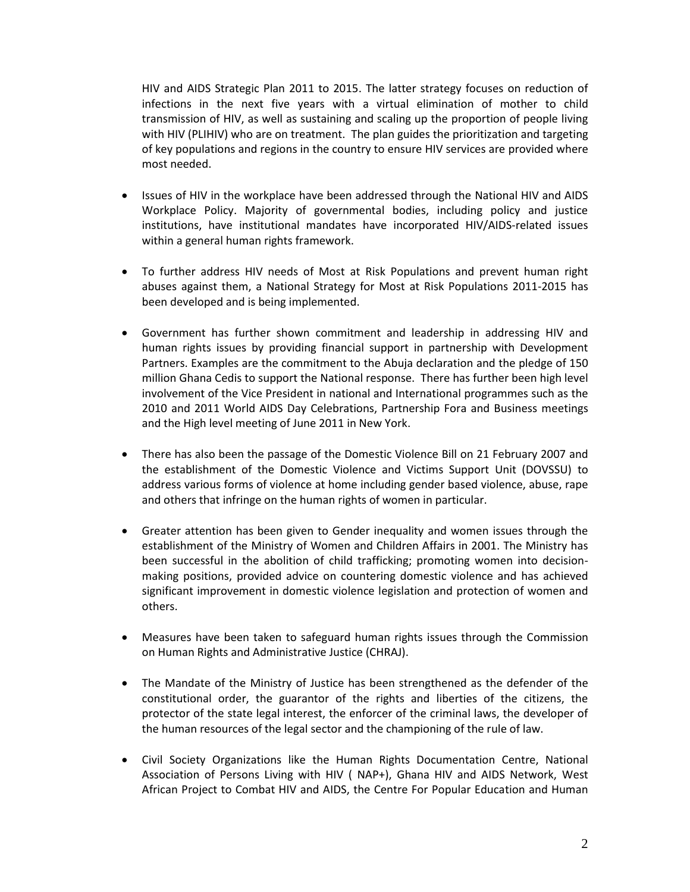HIV and AIDS Strategic Plan 2011 to 2015. The latter strategy focuses on reduction of infections in the next five years with a virtual elimination of mother to child transmission of HIV, as well as sustaining and scaling up the proportion of people living with HIV (PLIHIV) who are on treatment. The plan guides the prioritization and targeting of key populations and regions in the country to ensure HIV services are provided where most needed.

- Issues of HIV in the workplace have been addressed through the National HIV and AIDS Workplace Policy. Majority of governmental bodies, including policy and justice institutions, have institutional mandates have incorporated HIV/AIDS-related issues within a general human rights framework.
- To further address HIV needs of Most at Risk Populations and prevent human right abuses against them, a National Strategy for Most at Risk Populations 2011-2015 has been developed and is being implemented.
- Government has further shown commitment and leadership in addressing HIV and human rights issues by providing financial support in partnership with Development Partners. Examples are the commitment to the Abuja declaration and the pledge of 150 million Ghana Cedis to support the National response. There has further been high level involvement of the Vice President in national and International programmes such as the 2010 and 2011 World AIDS Day Celebrations, Partnership Fora and Business meetings and the High level meeting of June 2011 in New York.
- There has also been the passage of the Domestic Violence Bill on 21 February 2007 and the establishment of the Domestic Violence and Victims Support Unit (DOVSSU) to address various forms of violence at home including gender based violence, abuse, rape and others that infringe on the human rights of women in particular.
- Greater attention has been given to Gender inequality and women issues through the establishment of the Ministry of Women and Children Affairs in 2001. The Ministry has been successful in the abolition of child trafficking; promoting women into decisionmaking positions, provided advice on countering domestic violence and has achieved significant improvement in domestic violence legislation and protection of women and others.
- Measures have been taken to safeguard human rights issues through the Commission on Human Rights and Administrative Justice (CHRAJ).
- The Mandate of the Ministry of Justice has been strengthened as the defender of the constitutional order, the guarantor of the rights and liberties of the citizens, the protector of the state legal interest, the enforcer of the criminal laws, the developer of the human resources of the legal sector and the championing of the rule of law.
- Civil Society Organizations like the Human Rights Documentation Centre, National Association of Persons Living with HIV ( NAP+), Ghana HIV and AIDS Network, West African Project to Combat HIV and AIDS, the Centre For Popular Education and Human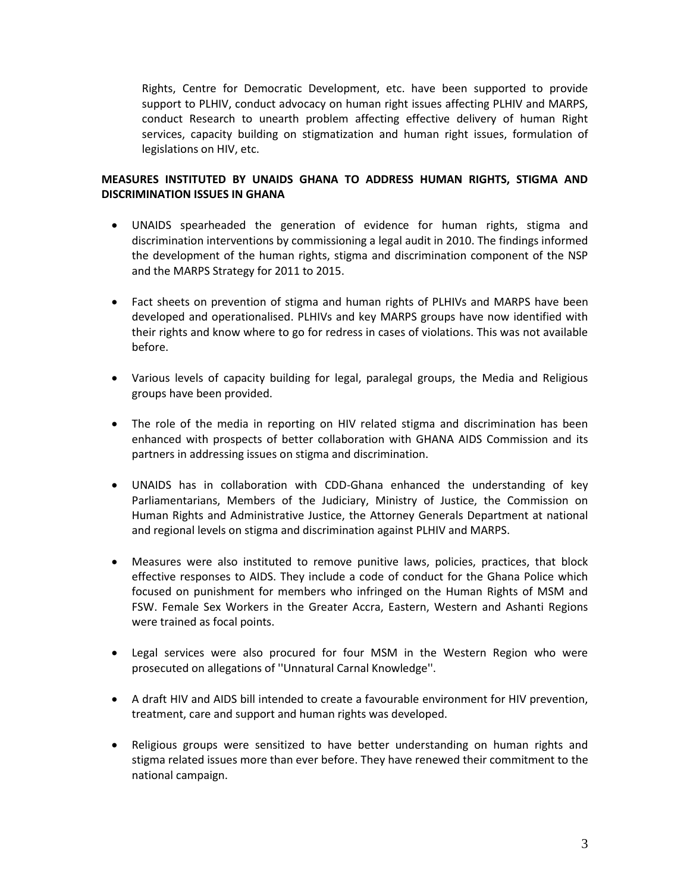Rights, Centre for Democratic Development, etc. have been supported to provide support to PLHIV, conduct advocacy on human right issues affecting PLHIV and MARPS, conduct Research to unearth problem affecting effective delivery of human Right services, capacity building on stigmatization and human right issues, formulation of legislations on HIV, etc.

# **MEASURES INSTITUTED BY UNAIDS GHANA TO ADDRESS HUMAN RIGHTS, STIGMA AND DISCRIMINATION ISSUES IN GHANA**

- UNAIDS spearheaded the generation of evidence for human rights, stigma and discrimination interventions by commissioning a legal audit in 2010. The findings informed the development of the human rights, stigma and discrimination component of the NSP and the MARPS Strategy for 2011 to 2015.
- Fact sheets on prevention of stigma and human rights of PLHIVs and MARPS have been developed and operationalised. PLHIVs and key MARPS groups have now identified with their rights and know where to go for redress in cases of violations. This was not available before.
- Various levels of capacity building for legal, paralegal groups, the Media and Religious groups have been provided.
- The role of the media in reporting on HIV related stigma and discrimination has been enhanced with prospects of better collaboration with GHANA AIDS Commission and its partners in addressing issues on stigma and discrimination.
- UNAIDS has in collaboration with CDD-Ghana enhanced the understanding of key Parliamentarians, Members of the Judiciary, Ministry of Justice, the Commission on Human Rights and Administrative Justice, the Attorney Generals Department at national and regional levels on stigma and discrimination against PLHIV and MARPS.
- Measures were also instituted to remove punitive laws, policies, practices, that block effective responses to AIDS. They include a code of conduct for the Ghana Police which focused on punishment for members who infringed on the Human Rights of MSM and FSW. Female Sex Workers in the Greater Accra, Eastern, Western and Ashanti Regions were trained as focal points.
- Legal services were also procured for four MSM in the Western Region who were prosecuted on allegations of ''Unnatural Carnal Knowledge''.
- A draft HIV and AIDS bill intended to create a favourable environment for HIV prevention, treatment, care and support and human rights was developed.
- Religious groups were sensitized to have better understanding on human rights and stigma related issues more than ever before. They have renewed their commitment to the national campaign.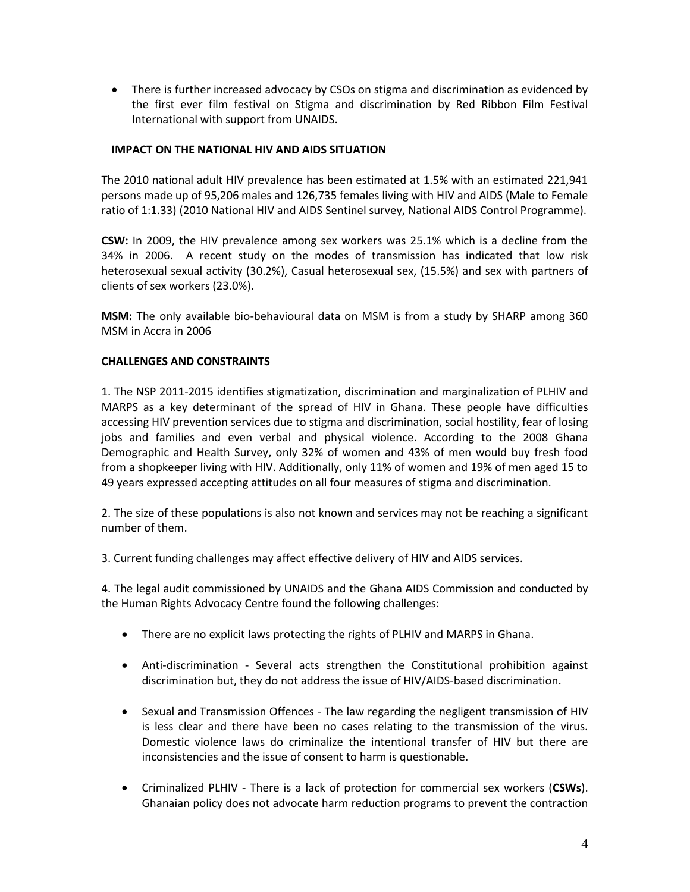There is further increased advocacy by CSOs on stigma and discrimination as evidenced by the first ever film festival on Stigma and discrimination by Red Ribbon Film Festival International with support from UNAIDS.

## **IMPACT ON THE NATIONAL HIV AND AIDS SITUATION**

The 2010 national adult HIV prevalence has been estimated at 1.5% with an estimated 221,941 persons made up of 95,206 males and 126,735 females living with HIV and AIDS (Male to Female ratio of 1:1.33) (2010 National HIV and AIDS Sentinel survey, National AIDS Control Programme).

**CSW:** In 2009, the HIV prevalence among sex workers was 25.1% which is a decline from the 34% in 2006. A recent study on the modes of transmission has indicated that low risk heterosexual sexual activity (30.2%), Casual heterosexual sex, (15.5%) and sex with partners of clients of sex workers (23.0%).

**MSM:** The only available bio-behavioural data on MSM is from a study by SHARP among 360 MSM in Accra in 2006

## **CHALLENGES AND CONSTRAINTS**

1. The NSP 2011-2015 identifies stigmatization, discrimination and marginalization of PLHIV and MARPS as a key determinant of the spread of HIV in Ghana. These people have difficulties accessing HIV prevention services due to stigma and discrimination, social hostility, fear of losing jobs and families and even verbal and physical violence. According to the 2008 Ghana Demographic and Health Survey, only 32% of women and 43% of men would buy fresh food from a shopkeeper living with HIV. Additionally, only 11% of women and 19% of men aged 15 to 49 years expressed accepting attitudes on all four measures of stigma and discrimination.

2. The size of these populations is also not known and services may not be reaching a significant number of them.

3. Current funding challenges may affect effective delivery of HIV and AIDS services.

4. The legal audit commissioned by UNAIDS and the Ghana AIDS Commission and conducted by the Human Rights Advocacy Centre found the following challenges:

- There are no explicit laws protecting the rights of PLHIV and MARPS in Ghana.
- Anti-discrimination Several acts strengthen the Constitutional prohibition against discrimination but, they do not address the issue of HIV/AIDS-based discrimination.
- Sexual and Transmission Offences The law regarding the negligent transmission of HIV is less clear and there have been no cases relating to the transmission of the virus. Domestic violence laws do criminalize the intentional transfer of HIV but there are inconsistencies and the issue of consent to harm is questionable.
- Criminalized PLHIV There is a lack of protection for commercial sex workers (**CSWs**). Ghanaian policy does not advocate harm reduction programs to prevent the contraction